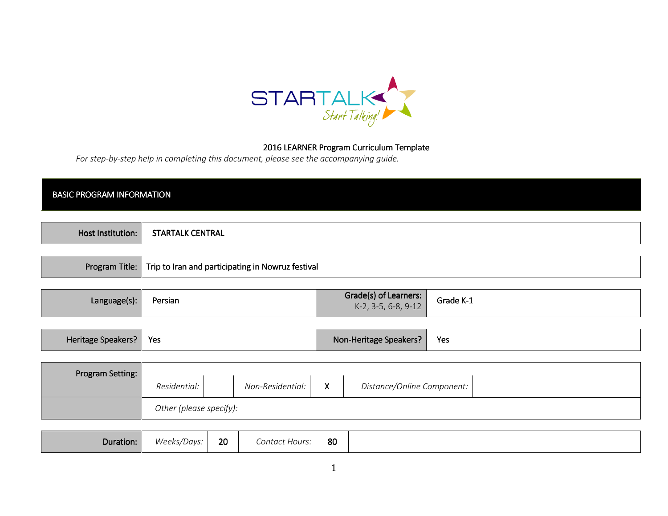

## 2016 LEARNER Program Curriculum Template

For step-by-step help in completing this document, please see the accompanying guide.

## **BASIC PROGRAM INFORMATION**

| Host Institution: | STARTALK CENTRAL                                                   |
|-------------------|--------------------------------------------------------------------|
|                   |                                                                    |
|                   | Program Title:   Trip to Iran and participating in Nowruz festival |

| Grade(s) of Learners:<br>Grade K-1<br>Language(s):<br>Persian<br>$K-2$ , 3-5, 6-8, 9-12 |  |
|-----------------------------------------------------------------------------------------|--|
|-----------------------------------------------------------------------------------------|--|

| Heritage Speakers? | d Yes and Yes are the Sea | Non-Heritage Speakers? | Yes |
|--------------------|---------------------------|------------------------|-----|
|--------------------|---------------------------|------------------------|-----|

| <b>Program Setting:</b> |                         |                  |                           |                            |  |
|-------------------------|-------------------------|------------------|---------------------------|----------------------------|--|
|                         | Residential:            | Non-Residential: | $\checkmark$<br>$\lambda$ | Distance/Online Component: |  |
|                         | Other (please specify): |                  |                           |                            |  |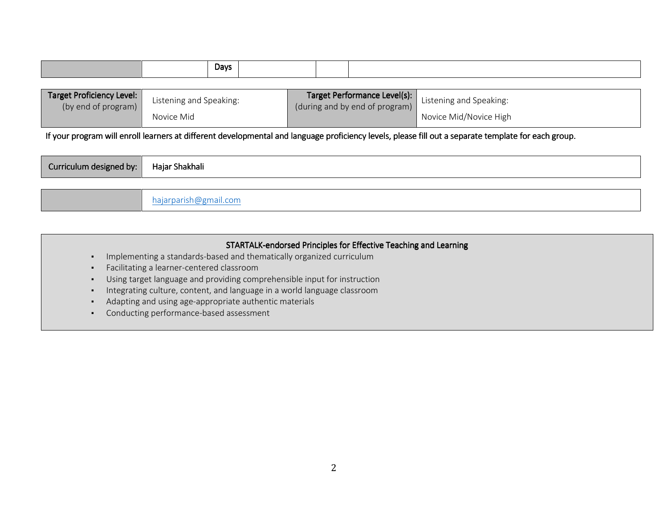|  | <b>Days</b> |  |  |
|--|-------------|--|--|
|  |             |  |  |

| Target Proficiency Level: | Listening and Speaking: | <b>Target Performance Level(s):</b> Listening and Speaking: |                        |
|---------------------------|-------------------------|-------------------------------------------------------------|------------------------|
| (by end of program)       |                         | (during and by end of program)                              |                        |
|                           | Novice Mid              |                                                             | Novice Mid/Novice High |

If your program will enroll learners at different developmental and language proficiency levels, please fill out a separate template for each group.

| Curriculum designed by: | Hajar Shakhali |
|-------------------------|----------------|
|                         |                |

hajarparish@gmail.com

# STARTALK-endorsed Principles for Effective Teaching and Learning

- Implementing a standards-based and thematically organized curriculum
- ▪Facilitating a learner-centered classroom
- ▪Using target language and providing comprehensible input for instruction
- ▪Integrating culture, content, and language in a world language classroom
- ▪Adapting and using age-appropriate authentic materials
- ▪Conducting performance-based assessment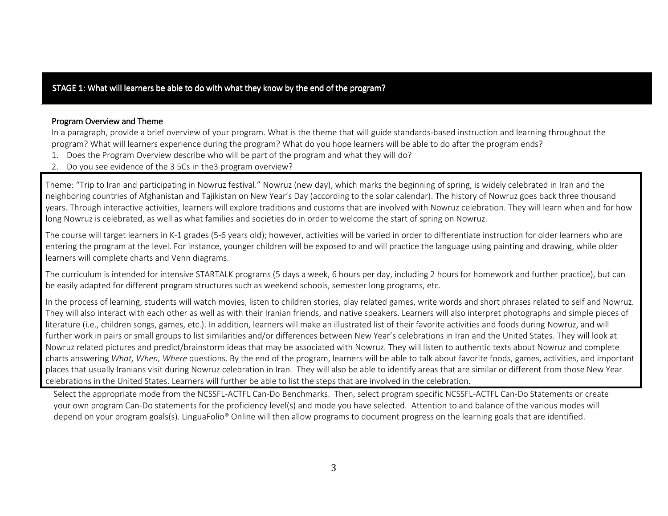# <code>STAGE</code> 1: What will learners be able to do with what they know by the end of the program?

#### Program Overview and Theme

 In a paragraph, provide a brief overview of your program. What is the theme that will guide standards-based instruction and learning throughout the program? What will learners experience during the program? What do you hope learners will be able to do after the program ends?

- 1. Does the Program Overview describe who will be part of the program and what they will do?
- 2. Do you see evidence of the 3 5Cs in the3 program overview?

Theme: "Trip to Iran and participating in Nowruz festival." Nowruz (new day), which marks the beginning of spring, is widely celebrated in Iran and the neighboring countries of Afghanistan and Tajikistan on New Year's Day (according to the solar calendar). The history of Nowruz goes back three thousand years. Through interactive activities, learners will explore traditions and customs that are involved with Nowruz celebration. They will learn when and for how long Nowruz is celebrated, as well as what families and societies do in order to welcome the start of spring on Nowruz.

The course will target learners in K-1 grades (5-6 years old); however, activities will be varied in order to differentiate instruction for older learners who are entering the program at the level. For instance, younger children will be exposed to and will practice the language using painting and drawing, while older learners will complete charts and Venn diagrams.

The curriculum is intended for intensive STARTALK programs (5 days a week, 6 hours per day, including 2 hours for homework and further practice), but canbe easily adapted for different program structures such as weekend schools, semester long programs, etc.

In the process of learning, students will watch movies, listen to children stories, play related games, write words and short phrases related to self and Nowruz. They will also interact with each other as well as with their Iranian friends, and native speakers. Learners will also interpret photographs and simple pieces of literature (i.e., children songs, games, etc.). In addition, learners will make an illustrated list of their favorite activities and foods during Nowruz, and will further work in pairs or small groups to list similarities and/or differences between New Year's celebrations in Iran and the United States. They will look at Nowruz related pictures and predict/brainstorm ideas that may be associated with Nowruz. They will listen to authentic texts about Nowruz and complete charts answering What, When, Where questions. By the end of the program, learners will be able to talk about favorite foods, games, activities, and important places that usually Iranians visit during Nowruz celebration in Iran. They will also be able to identify areas that are similar or different from those New Year celebrations in the United States. Learners will further be able to list the steps that are involved in the celebration.

Select the appropriate mode from the NCSSFL-ACTFL Can-Do Benchmarks. Then, select program specific NCSSFL-ACTFL Can-Do Statements or create your own program Can-Do statements for the proficiency level(s) and mode you have selected. Attention to and balance of the various modes will depend on your program goals(s). LinguaFolio® Online will then allow programs to document progress on the learning goals that are identified.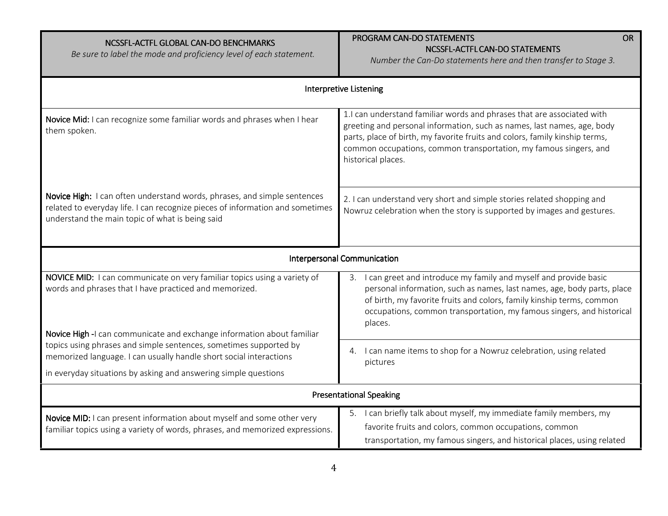| NCSSFL-ACTFL GLOBAL CAN-DO BENCHMARKS<br>Be sure to label the mode and proficiency level of each statement.                                                                                                  | PROGRAM CAN-DO STATEMENTS<br><b>OR</b><br>NCSSFL-ACTFL CAN-DO STATEMENTS<br>Number the Can-Do statements here and then transfer to Stage 3.                                                                                                                                                                                 |  |  |
|--------------------------------------------------------------------------------------------------------------------------------------------------------------------------------------------------------------|-----------------------------------------------------------------------------------------------------------------------------------------------------------------------------------------------------------------------------------------------------------------------------------------------------------------------------|--|--|
|                                                                                                                                                                                                              | <b>Interpretive Listening</b>                                                                                                                                                                                                                                                                                               |  |  |
| Novice Mid: I can recognize some familiar words and phrases when I hear<br>them spoken.                                                                                                                      | 1.I can understand familiar words and phrases that are associated with<br>greeting and personal information, such as names, last names, age, body<br>parts, place of birth, my favorite fruits and colors, family kinship terms,<br>common occupations, common transportation, my famous singers, and<br>historical places. |  |  |
| Novice High: I can often understand words, phrases, and simple sentences<br>related to everyday life. I can recognize pieces of information and sometimes<br>understand the main topic of what is being said | 2. I can understand very short and simple stories related shopping and<br>Nowruz celebration when the story is supported by images and gestures.                                                                                                                                                                            |  |  |
|                                                                                                                                                                                                              | Interpersonal Communication                                                                                                                                                                                                                                                                                                 |  |  |
| NOVICE MID: I can communicate on very familiar topics using a variety of<br>words and phrases that I have practiced and memorized.<br>Novice High -I can communicate and exchange information about familiar | I can greet and introduce my family and myself and provide basic<br>3.<br>personal information, such as names, last names, age, body parts, place<br>of birth, my favorite fruits and colors, family kinship terms, common<br>occupations, common transportation, my famous singers, and historical<br>places.              |  |  |
| topics using phrases and simple sentences, sometimes supported by<br>memorized language. I can usually handle short social interactions                                                                      | I can name items to shop for a Nowruz celebration, using related<br>4.<br>pictures                                                                                                                                                                                                                                          |  |  |
| in everyday situations by asking and answering simple questions                                                                                                                                              |                                                                                                                                                                                                                                                                                                                             |  |  |
| <b>Presentational Speaking</b>                                                                                                                                                                               |                                                                                                                                                                                                                                                                                                                             |  |  |
| Novice MID: I can present information about myself and some other very<br>familiar topics using a variety of words, phrases, and memorized expressions.                                                      | 5. I can briefly talk about myself, my immediate family members, my<br>favorite fruits and colors, common occupations, common<br>transportation, my famous singers, and historical places, using related                                                                                                                    |  |  |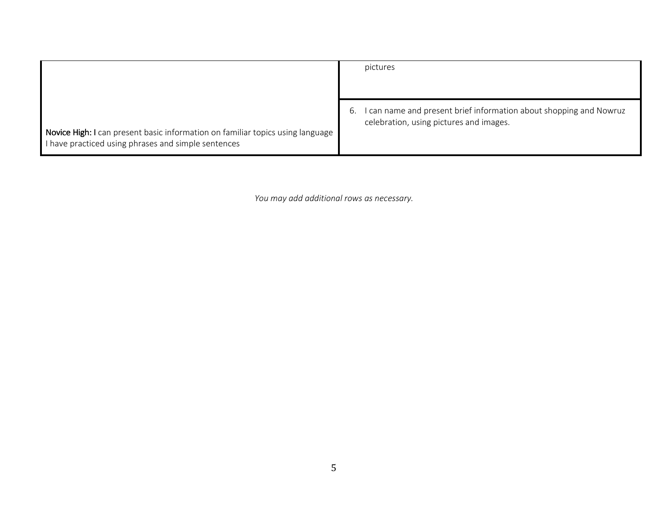|                                                                                                                                       | pictures                                                                                                          |
|---------------------------------------------------------------------------------------------------------------------------------------|-------------------------------------------------------------------------------------------------------------------|
| Novice High: I can present basic information on familiar topics using language<br>I have practiced using phrases and simple sentences | can name and present brief information about shopping and Nowruz<br>ь.<br>celebration, using pictures and images. |

You may add additional rows as necessary.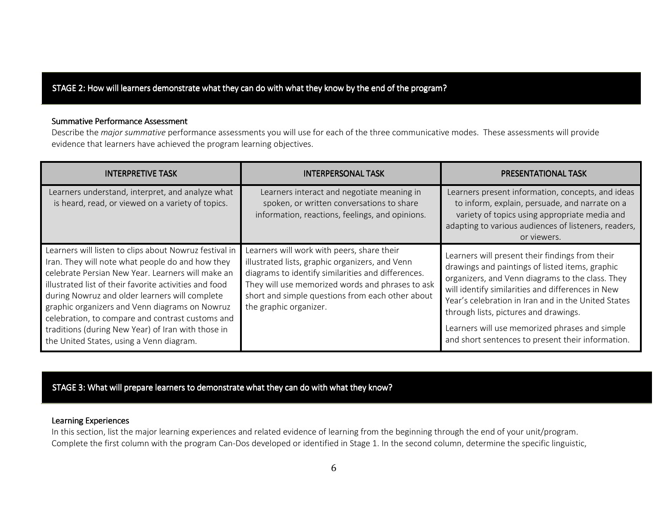# STAGE 2: How will learners demonstrate what they can do with what they know by the end of the program?

#### Summative Performance Assessment

Describe the *major summative* performance assessments you will use for each of the three communicative modes. These assessments will provide evidence that learners have achieved the program learning objectives.

| <b>INTERPRETIVE TASK</b>                                                                                                                                                                                                                                                                                                                                                                                                                                                            | INTERPERSONAL TASK                                                                                                                                                                                                                                                                    | <b>PRESENTATIONAL TASK</b>                                                                                                                                                                                                                                                                                                                                                                                         |
|-------------------------------------------------------------------------------------------------------------------------------------------------------------------------------------------------------------------------------------------------------------------------------------------------------------------------------------------------------------------------------------------------------------------------------------------------------------------------------------|---------------------------------------------------------------------------------------------------------------------------------------------------------------------------------------------------------------------------------------------------------------------------------------|--------------------------------------------------------------------------------------------------------------------------------------------------------------------------------------------------------------------------------------------------------------------------------------------------------------------------------------------------------------------------------------------------------------------|
| Learners understand, interpret, and analyze what<br>is heard, read, or viewed on a variety of topics.                                                                                                                                                                                                                                                                                                                                                                               | Learners interact and negotiate meaning in<br>spoken, or written conversations to share<br>information, reactions, feelings, and opinions.                                                                                                                                            | Learners present information, concepts, and ideas<br>to inform, explain, persuade, and narrate on a<br>variety of topics using appropriate media and<br>adapting to various audiences of listeners, readers,<br>or viewers.                                                                                                                                                                                        |
| Learners will listen to clips about Nowruz festival in<br>Iran. They will note what people do and how they<br>celebrate Persian New Year. Learners will make an<br>illustrated list of their favorite activities and food<br>during Nowruz and older learners will complete<br>graphic organizers and Venn diagrams on Nowruz<br>celebration, to compare and contrast customs and<br>traditions (during New Year) of Iran with those in<br>the United States, using a Venn diagram. | Learners will work with peers, share their<br>illustrated lists, graphic organizers, and Venn<br>diagrams to identify similarities and differences.<br>They will use memorized words and phrases to ask<br>short and simple questions from each other about<br>the graphic organizer. | Learners will present their findings from their<br>drawings and paintings of listed items, graphic<br>organizers, and Venn diagrams to the class. They<br>will identify similarities and differences in New<br>Year's celebration in Iran and in the United States<br>through lists, pictures and drawings.<br>Learners will use memorized phrases and simple<br>and short sentences to present their information. |

STAGE 3: What will prepare learners to demonstrate what they can do with what they know?

### Learning Experiences

 In this section, list the major learning experiences and related evidence of learning from the beginning through the end of your unit/program. Complete the first column with the program Can-Dos developed or identified in Stage 1. In the second column, determine the specific linguistic,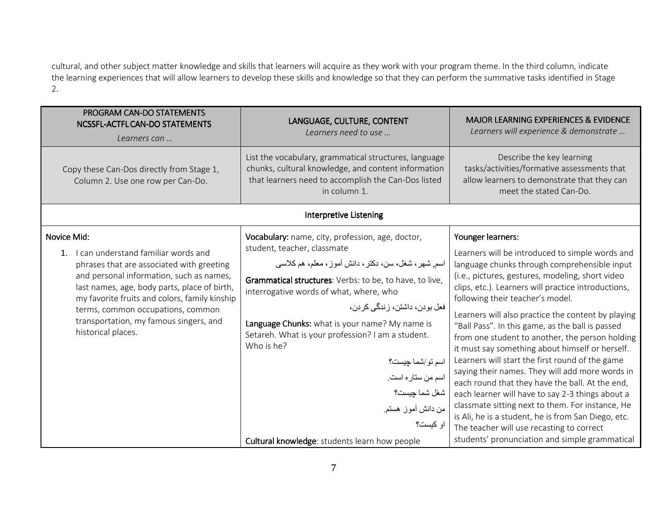cultural, and other subject matter knowledge and skills that learners will acquire as they work with your program theme. In the third column, indicate the learning experiences that will allow learners to develop these skills and knowledge so that they can perform the summative tasks identified in Stage 2.

| PROGRAM CAN-DO STATEMENTS<br>NCSSFL-ACTFL CAN-DO STATEMENTS<br>Learners can                                                                                                                                                                                                                                                                                  | LANGUAGE, CULTURE, CONTENT<br>Learners need to use                                                                                                                                                                                                                                                                                                                                                                                                                                                                                              | <b>MAJOR LEARNING EXPERIENCES &amp; EVIDENCE</b><br>Learners will experience & demonstrate                                                                                                                                                                                                                                                                                                                                                                                                                                                                                                                                                                                                                                                                                                                                                                                                                 |
|--------------------------------------------------------------------------------------------------------------------------------------------------------------------------------------------------------------------------------------------------------------------------------------------------------------------------------------------------------------|-------------------------------------------------------------------------------------------------------------------------------------------------------------------------------------------------------------------------------------------------------------------------------------------------------------------------------------------------------------------------------------------------------------------------------------------------------------------------------------------------------------------------------------------------|------------------------------------------------------------------------------------------------------------------------------------------------------------------------------------------------------------------------------------------------------------------------------------------------------------------------------------------------------------------------------------------------------------------------------------------------------------------------------------------------------------------------------------------------------------------------------------------------------------------------------------------------------------------------------------------------------------------------------------------------------------------------------------------------------------------------------------------------------------------------------------------------------------|
| Copy these Can-Dos directly from Stage 1,<br>Column 2. Use one row per Can-Do.                                                                                                                                                                                                                                                                               | List the vocabulary, grammatical structures, language<br>chunks, cultural knowledge, and content information<br>that learners need to accomplish the Can-Dos listed<br>in column 1.                                                                                                                                                                                                                                                                                                                                                             | Describe the key learning<br>tasks/activities/formative assessments that<br>allow learners to demonstrate that they can<br>meet the stated Can-Do.                                                                                                                                                                                                                                                                                                                                                                                                                                                                                                                                                                                                                                                                                                                                                         |
|                                                                                                                                                                                                                                                                                                                                                              | <b>Interpretive Listening</b>                                                                                                                                                                                                                                                                                                                                                                                                                                                                                                                   |                                                                                                                                                                                                                                                                                                                                                                                                                                                                                                                                                                                                                                                                                                                                                                                                                                                                                                            |
| Novice Mid:<br>I can understand familiar words and<br>$1_{-}$<br>phrases that are associated with greeting<br>and personal information, such as names,<br>last names, age, body parts, place of birth,<br>my favorite fruits and colors, family kinship<br>terms, common occupations, common<br>transportation, my famous singers, and<br>historical places. | Vocabulary: name, city, profession, age, doctor,<br>student, teacher, classmate<br>اسم شهر ، شغل، سن، دکتر ، دانش أموز ، معلم، هم کلاسی<br>Grammatical structures: Verbs: to be, to have, to live,<br>interrogative words of what, where, who<br>فعل بودن، داشتن، زندگی کر دن،<br>Language Chunks: what is your name? My name is<br>Setareh. What is your profession? I am a student.<br>Who is he?<br>اسم تو/شما چیست؟<br>اسم من ستاره است.<br>شغل شما چيست؟<br>من دانش أموز هستم<br>او کیست؟<br>Cultural knowledge: students learn how people | Younger learners:<br>Learners will be introduced to simple words and<br>language chunks through comprehensible input<br>(i.e., pictures, gestures, modeling, short video<br>clips, etc.). Learners will practice introductions,<br>following their teacher's model.<br>Learners will also practice the content by playing<br>"Ball Pass". In this game, as the ball is passed<br>from one student to another, the person holding<br>it must say something about himself or herself.<br>Learners will start the first round of the game<br>saying their names. They will add more words in<br>each round that they have the ball. At the end,<br>each learner will have to say 2-3 things about a<br>classmate sitting next to them. For instance, He<br>is Ali, he is a student, he is from San Diego, etc.<br>The teacher will use recasting to correct<br>students' pronunciation and simple grammatical |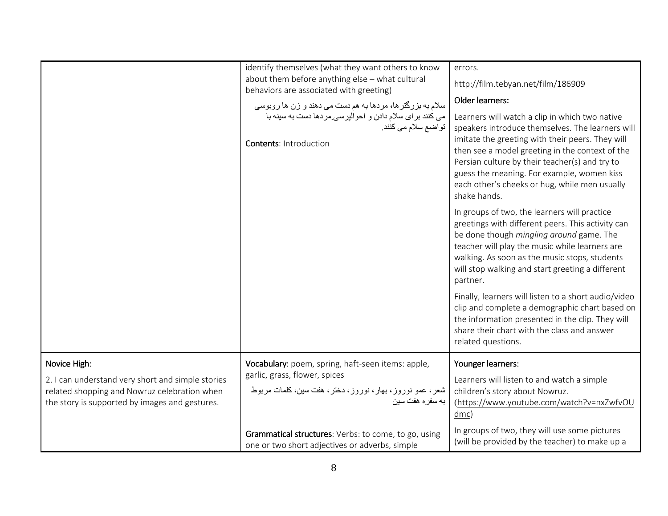|                                                                                                                                                     | identify themselves (what they want others to know<br>about them before anything else - what cultural<br>behaviors are associated with greeting)<br>سلام به بزرگترها، مردها به هم دست می دهند و زن ها روبوسی<br>می کنند برای سلام دادن و احوالیرسی مردها دست به سینه با<br>تواضع سلام مي كنند.<br><b>Contents: Introduction</b> | errors.                                                                                                                                                                                                                                                                                                                                                                    |
|-----------------------------------------------------------------------------------------------------------------------------------------------------|---------------------------------------------------------------------------------------------------------------------------------------------------------------------------------------------------------------------------------------------------------------------------------------------------------------------------------|----------------------------------------------------------------------------------------------------------------------------------------------------------------------------------------------------------------------------------------------------------------------------------------------------------------------------------------------------------------------------|
|                                                                                                                                                     |                                                                                                                                                                                                                                                                                                                                 | http://film.tebyan.net/film/186909                                                                                                                                                                                                                                                                                                                                         |
|                                                                                                                                                     |                                                                                                                                                                                                                                                                                                                                 | Older learners:                                                                                                                                                                                                                                                                                                                                                            |
|                                                                                                                                                     |                                                                                                                                                                                                                                                                                                                                 | Learners will watch a clip in which two native<br>speakers introduce themselves. The learners will<br>imitate the greeting with their peers. They will<br>then see a model greeting in the context of the<br>Persian culture by their teacher(s) and try to<br>guess the meaning. For example, women kiss<br>each other's cheeks or hug, while men usually<br>shake hands. |
|                                                                                                                                                     |                                                                                                                                                                                                                                                                                                                                 | In groups of two, the learners will practice<br>greetings with different peers. This activity can<br>be done though mingling around game. The<br>teacher will play the music while learners are<br>walking. As soon as the music stops, students<br>will stop walking and start greeting a different<br>partner.                                                           |
|                                                                                                                                                     |                                                                                                                                                                                                                                                                                                                                 | Finally, learners will listen to a short audio/video<br>clip and complete a demographic chart based on<br>the information presented in the clip. They will<br>share their chart with the class and answer<br>related questions.                                                                                                                                            |
| Novice High:                                                                                                                                        | Vocabulary: poem, spring, haft-seen items: apple,                                                                                                                                                                                                                                                                               | Younger learners:                                                                                                                                                                                                                                                                                                                                                          |
| 2. I can understand very short and simple stories<br>related shopping and Nowruz celebration when<br>the story is supported by images and gestures. | garlic, grass, flower, spices<br>شعر، عمو نوروز، بهار، نوروز، دختر، هفت سین، کلمات مربوط<br>به سفر ه هفت سین                                                                                                                                                                                                                    | Learners will listen to and watch a simple<br>children's story about Nowruz.<br>(https://www.youtube.com/watch?v=nxZwfvOU<br>dmc)                                                                                                                                                                                                                                          |
|                                                                                                                                                     | Grammatical structures: Verbs: to come, to go, using<br>one or two short adjectives or adverbs, simple                                                                                                                                                                                                                          | In groups of two, they will use some pictures<br>(will be provided by the teacher) to make up a                                                                                                                                                                                                                                                                            |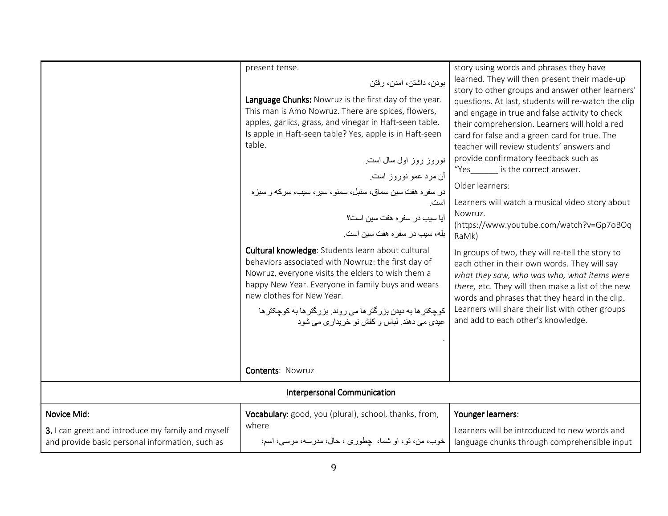|                                                                                                                     | present tense.<br>بودن، داشتن، آمدن، رفتن<br>Language Chunks: Nowruz is the first day of the year.<br>This man is Amo Nowruz. There are spices, flowers,<br>apples, garlics, grass, and vinegar in Haft-seen table.<br>Is apple in Haft-seen table? Yes, apple is in Haft-seen<br>table.<br>نوروز روز اول سال است.<br>أن مرد عمو نوروز است.<br>در سفره هفت سین سماق، سنبل، سمنو، سیر، سیب، سرکه و سبزه<br>است<br>آیا سیب در سفره هفت سین است؟<br>بله، سيب در سفر م هفت سين است.<br>Cultural knowledge: Students learn about cultural<br>behaviors associated with Nowruz: the first day of<br>Nowruz, everyone visits the elders to wish them a<br>happy New Year. Everyone in family buys and wears<br>new clothes for New Year.<br>کوچکتر ها به دیدن بزرگتر ها می روند. بزرگتر ها به کوچکتر ها<br>عيدي مي دهند. لباس و كفش نو خريدار ي مي شود | story using words and phrases they have<br>learned. They will then present their made-up<br>story to other groups and answer other learners'<br>questions. At last, students will re-watch the clip<br>and engage in true and false activity to check<br>their comprehension. Learners will hold a red<br>card for false and a green card for true. The<br>teacher will review students' answers and<br>provide confirmatory feedback such as<br>"Yes is the correct answer.<br>Older learners:<br>Learners will watch a musical video story about<br>Nowruz.<br>(https://www.youtube.com/watch?v=Gp7oBOq<br>RaMk)<br>In groups of two, they will re-tell the story to<br>each other in their own words. They will say<br>what they saw, who was who, what items were<br>there, etc. They will then make a list of the new<br>words and phrases that they heard in the clip.<br>Learners will share their list with other groups<br>and add to each other's knowledge. |
|---------------------------------------------------------------------------------------------------------------------|-------------------------------------------------------------------------------------------------------------------------------------------------------------------------------------------------------------------------------------------------------------------------------------------------------------------------------------------------------------------------------------------------------------------------------------------------------------------------------------------------------------------------------------------------------------------------------------------------------------------------------------------------------------------------------------------------------------------------------------------------------------------------------------------------------------------------------------------------|------------------------------------------------------------------------------------------------------------------------------------------------------------------------------------------------------------------------------------------------------------------------------------------------------------------------------------------------------------------------------------------------------------------------------------------------------------------------------------------------------------------------------------------------------------------------------------------------------------------------------------------------------------------------------------------------------------------------------------------------------------------------------------------------------------------------------------------------------------------------------------------------------------------------------------------------------------------------|
|                                                                                                                     | <b>Contents: Nowruz</b>                                                                                                                                                                                                                                                                                                                                                                                                                                                                                                                                                                                                                                                                                                                                                                                                                         |                                                                                                                                                                                                                                                                                                                                                                                                                                                                                                                                                                                                                                                                                                                                                                                                                                                                                                                                                                        |
| Interpersonal Communication                                                                                         |                                                                                                                                                                                                                                                                                                                                                                                                                                                                                                                                                                                                                                                                                                                                                                                                                                                 |                                                                                                                                                                                                                                                                                                                                                                                                                                                                                                                                                                                                                                                                                                                                                                                                                                                                                                                                                                        |
| Novice Mid:<br>3. I can greet and introduce my family and myself<br>and provide basic personal information, such as | Vocabulary: good, you (plural), school, thanks, from,<br>where<br>خوب، من، تو، او شما، چطوری ، حال، مدرسه، مرسی، اسم،                                                                                                                                                                                                                                                                                                                                                                                                                                                                                                                                                                                                                                                                                                                           | Younger learners:<br>Learners will be introduced to new words and<br>language chunks through comprehensible input                                                                                                                                                                                                                                                                                                                                                                                                                                                                                                                                                                                                                                                                                                                                                                                                                                                      |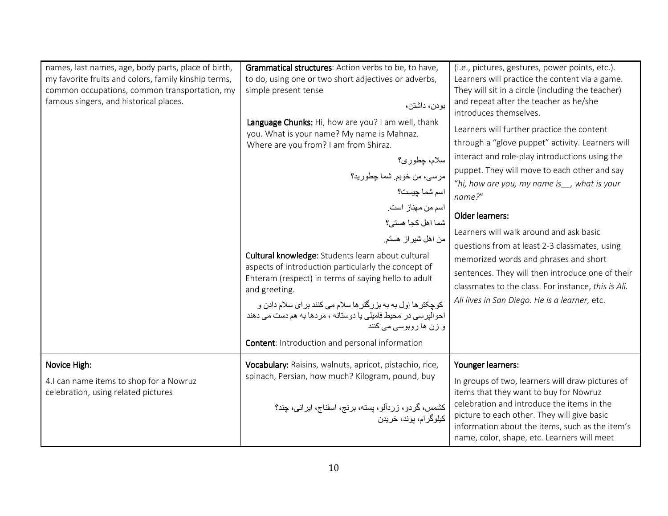| names, last names, age, body parts, place of birth,<br>my favorite fruits and colors, family kinship terms,<br>common occupations, common transportation, my<br>famous singers, and historical places. | Grammatical structures: Action verbs to be, to have,<br>to do, using one or two short adjectives or adverbs,<br>simple present tense<br>بودن، داشتن،<br>Language Chunks: Hi, how are you? I am well, thank<br>you. What is your name? My name is Mahnaz.<br>Where are you from? I am from Shiraz.<br>سلام، چطوري؟<br>مرسى، من خوبم شما چطوريد؟<br>اسم شما چیست؟<br>اسم من مهناز است.<br>شما اهل كجا هستى؟<br>من اهل شيراز هستم.<br>Cultural knowledge: Students learn about cultural<br>aspects of introduction particularly the concept of<br>Ehteram (respect) in terms of saying hello to adult<br>and greeting.<br>کوچکتر ها اول به به بزرگتر ها سلام می کنند برای سلام دادن و<br>احو البر سي در محيط فاميلي يا دوستانه ، مردها به هم دست مي دهند<br>و زن ها روبوسی می کنند<br><b>Content:</b> Introduction and personal information | (i.e., pictures, gestures, power points, etc.).<br>Learners will practice the content via a game.<br>They will sit in a circle (including the teacher)<br>and repeat after the teacher as he/she<br>introduces themselves.<br>Learners will further practice the content<br>through a "glove puppet" activity. Learners will<br>interact and role-play introductions using the<br>puppet. They will move to each other and say<br>"hi, how are you, my name is, what is your<br>name?"<br><b>Older learners:</b><br>Learners will walk around and ask basic<br>questions from at least 2-3 classmates, using<br>memorized words and phrases and short<br>sentences. They will then introduce one of their<br>classmates to the class. For instance, this is Ali.<br>Ali lives in San Diego. He is a learner, etc. |
|--------------------------------------------------------------------------------------------------------------------------------------------------------------------------------------------------------|------------------------------------------------------------------------------------------------------------------------------------------------------------------------------------------------------------------------------------------------------------------------------------------------------------------------------------------------------------------------------------------------------------------------------------------------------------------------------------------------------------------------------------------------------------------------------------------------------------------------------------------------------------------------------------------------------------------------------------------------------------------------------------------------------------------------------------------|-------------------------------------------------------------------------------------------------------------------------------------------------------------------------------------------------------------------------------------------------------------------------------------------------------------------------------------------------------------------------------------------------------------------------------------------------------------------------------------------------------------------------------------------------------------------------------------------------------------------------------------------------------------------------------------------------------------------------------------------------------------------------------------------------------------------|
| Novice High:<br>4.1 can name items to shop for a Nowruz<br>celebration, using related pictures                                                                                                         | Vocabulary: Raisins, walnuts, apricot, pistachio, rice,<br>spinach, Persian, how much? Kilogram, pound, buy<br>کشمس، گردو، زردآلو، پسته، برنج، اسفناج، ایرانبی، چند؟<br>كيلوگر ام، يوند، خريدن                                                                                                                                                                                                                                                                                                                                                                                                                                                                                                                                                                                                                                           | Younger learners:<br>In groups of two, learners will draw pictures of<br>items that they want to buy for Nowruz<br>celebration and introduce the items in the<br>picture to each other. They will give basic<br>information about the items, such as the item's<br>name, color, shape, etc. Learners will meet                                                                                                                                                                                                                                                                                                                                                                                                                                                                                                    |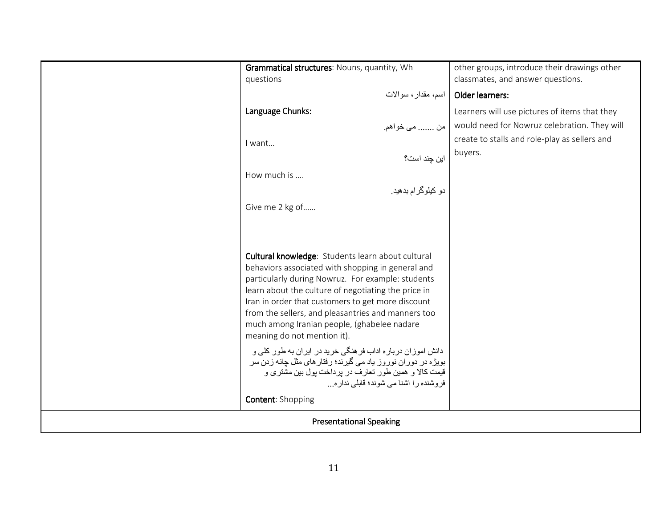|                                | Grammatical structures: Nouns, quantity, Wh<br>questions                                                                                                                                                                                                                                                                                                                                                                                                                                                                                                                                                                                                              | other groups, introduce their drawings other<br>classmates, and answer questions. |
|--------------------------------|-----------------------------------------------------------------------------------------------------------------------------------------------------------------------------------------------------------------------------------------------------------------------------------------------------------------------------------------------------------------------------------------------------------------------------------------------------------------------------------------------------------------------------------------------------------------------------------------------------------------------------------------------------------------------|-----------------------------------------------------------------------------------|
|                                | اسم، مقدار ، سوالات                                                                                                                                                                                                                                                                                                                                                                                                                                                                                                                                                                                                                                                   | Older learners:                                                                   |
|                                | Language Chunks:                                                                                                                                                                                                                                                                                                                                                                                                                                                                                                                                                                                                                                                      | Learners will use pictures of items that they                                     |
|                                | من  مي خواهم.                                                                                                                                                                                                                                                                                                                                                                                                                                                                                                                                                                                                                                                         | would need for Nowruz celebration. They will                                      |
|                                | I want                                                                                                                                                                                                                                                                                                                                                                                                                                                                                                                                                                                                                                                                | create to stalls and role-play as sellers and                                     |
|                                | این چند است؟                                                                                                                                                                                                                                                                                                                                                                                                                                                                                                                                                                                                                                                          | buyers.                                                                           |
|                                | How much is                                                                                                                                                                                                                                                                                                                                                                                                                                                                                                                                                                                                                                                           |                                                                                   |
|                                | دو کیلوگرام بدهید.                                                                                                                                                                                                                                                                                                                                                                                                                                                                                                                                                                                                                                                    |                                                                                   |
|                                | Give me 2 kg of                                                                                                                                                                                                                                                                                                                                                                                                                                                                                                                                                                                                                                                       |                                                                                   |
|                                | Cultural knowledge: Students learn about cultural<br>behaviors associated with shopping in general and<br>particularly during Nowruz. For example: students<br>learn about the culture of negotiating the price in<br>Iran in order that customers to get more discount<br>from the sellers, and pleasantries and manners too<br>much among Iranian people, (ghabelee nadare<br>meaning do not mention it).<br>دانش اموزان درباره اداب فر هنگی خرید در ایران به طور کلی و<br>بویژه در دوران نوروز یاد می گیرند؛ رفتار های مثل چانه زدن سر<br>قیمت کالا و همین طور تعارف در پرداخت پول بین مشتری و<br>فروشنده را اشنا می شوند؛ قابلی نداره<br><b>Content: Shopping</b> |                                                                                   |
| <b>Presentational Speaking</b> |                                                                                                                                                                                                                                                                                                                                                                                                                                                                                                                                                                                                                                                                       |                                                                                   |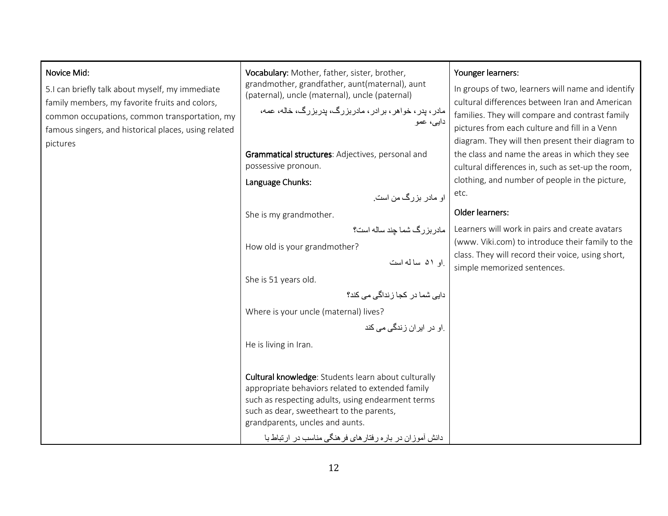#### Novice Mid:

5.I can briefly talk about myself, my immediate family members, my favorite fruits and colors, common occupations, common transportation, my famous singers, and historical places, using related pictures

Vocabulary: Mother, father, sister, brother, grandmother, grandfather, aunt(maternal), aunt (paternal), uncle (maternal), uncle (paternal)

```
مادر، پدر، خواھر، برادر، مادربزرگ، پدربزرگ، خاله، عمه، دايی، عمو
```
Grammatical structures: Adjectives, personal and possessive pronoun.

Language Chunks:

```
او مادر بزرگ من است.
```
She is my grandmother.

```
مادربزرگ شما چند ساله است؟
```
How old is your grandmother?

```
.او ۵۱ سا له است \sim She is 51 years old.
```

```
دايی شما در کجا زنداگی می کند؟
```
Where is your uncle (maternal) lives?

.<br>Iran in living in litan in litan.<br>He is living in Iran.

**Cultural knowledge**: Students learn about culturally appropriate behaviors related to extended family such as respecting adults, using endearment terms such as dear, sweetheart to the parents, grandparents, uncles and aunts.

دانش آموزان در باره رفتارھای فرھنگی مناسب در ارتباط با

### Younger learners:

In groups of two, learners will name and identify cultural differences between Iran and American families. They will compare and contrast family pictures from each culture and fill in a Venn diagram. They will then present their diagram to the class and name the areas in which they see cultural differences in, such as set-up the room, clothing, and number of people in the picture, etc.

## Older learners:

Learners will work in pairs and create avatars (www. Viki.com) to introduce their family to the class. They will record their voice, using short, simple memorized sentences.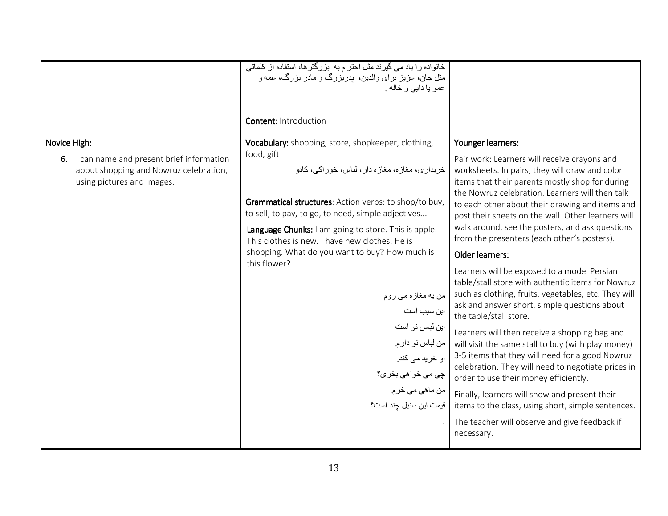|                                             | خانواده را یاد می گیرند مثل احترام به بزرگتر ها، استفاده از کلماتی                                          |                                                                                                       |
|---------------------------------------------|-------------------------------------------------------------------------------------------------------------|-------------------------------------------------------------------------------------------------------|
|                                             | مثل جان، عزیز برای والدین، پدربزرگ و مادر بزرگ، عمه و                                                       |                                                                                                       |
|                                             | عمو يا دايے و خاله .                                                                                        |                                                                                                       |
|                                             |                                                                                                             |                                                                                                       |
|                                             | <b>Content: Introduction</b>                                                                                |                                                                                                       |
| Novice High:                                | Vocabulary: shopping, store, shopkeeper, clothing,                                                          | Younger learners:                                                                                     |
| 6. I can name and present brief information | food, gift                                                                                                  | Pair work: Learners will receive crayons and                                                          |
| about shopping and Nowruz celebration,      | خريدار ي، مغاز ه، مغاز ه دار ، لباس، خور اکي، کادو                                                          | worksheets. In pairs, they will draw and color                                                        |
| using pictures and images.                  |                                                                                                             | items that their parents mostly shop for during                                                       |
|                                             |                                                                                                             | the Nowruz celebration. Learners will then talk                                                       |
|                                             | Grammatical structures: Action verbs: to shop/to buy,<br>to sell, to pay, to go, to need, simple adjectives | to each other about their drawing and items and                                                       |
|                                             |                                                                                                             | post their sheets on the wall. Other learners will<br>walk around, see the posters, and ask questions |
|                                             | Language Chunks: I am going to store. This is apple.<br>This clothes is new. I have new clothes. He is      | from the presenters (each other's posters).                                                           |
|                                             | shopping. What do you want to buy? How much is                                                              |                                                                                                       |
|                                             | this flower?                                                                                                | Older learners:                                                                                       |
|                                             |                                                                                                             | Learners will be exposed to a model Persian                                                           |
|                                             |                                                                                                             | table/stall store with authentic items for Nowruz                                                     |
|                                             | من به مغاز ه مي روم                                                                                         | such as clothing, fruits, vegetables, etc. They will<br>ask and answer short, simple questions about  |
|                                             | این سیب است                                                                                                 | the table/stall store.                                                                                |
|                                             | این لباس نو است                                                                                             | Learners will then receive a shopping bag and                                                         |
|                                             | من لباس نو دارم.                                                                                            | will visit the same stall to buy (with play money)                                                    |
|                                             | او خرید می کند.                                                                                             | 3-5 items that they will need for a good Nowruz<br>celebration. They will need to negotiate prices in |
|                                             | چي مي خواهي بخر ي؟                                                                                          | order to use their money efficiently.                                                                 |
|                                             | من ماهي مي خرم.                                                                                             | Finally, learners will show and present their                                                         |
|                                             | قيمت اين سنبل جند است؟                                                                                      | items to the class, using short, simple sentences.                                                    |
|                                             |                                                                                                             | The teacher will observe and give feedback if                                                         |
|                                             |                                                                                                             | necessary.                                                                                            |
|                                             |                                                                                                             |                                                                                                       |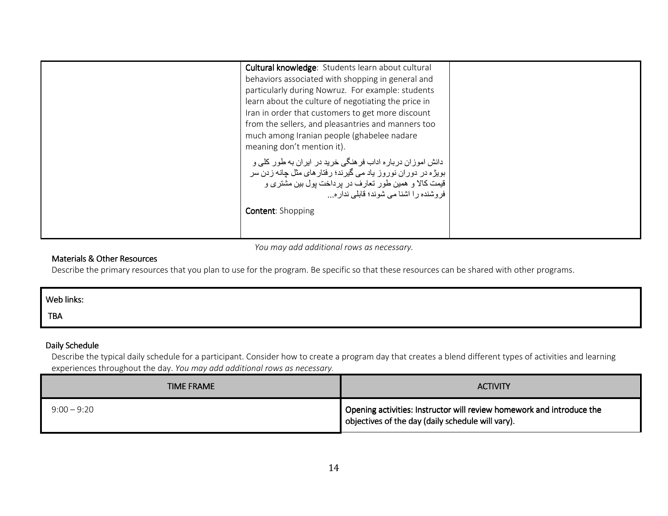You may add additional rows as necessary.

# Materials & Other Resources

Describe the primary resources that you plan to use for the program. Be specific so that these resources can be shared with other programs.

| Web links: |  |
|------------|--|
| <b>TBA</b> |  |
|            |  |

# Daily Schedule

 Describe the typical daily schedule for a participant. Consider how to create a program day that creates a blend different types of activities and learning experiences throughout the day. You may add additional rows as necessary.

| <b>TIME FRAME</b> | <b>ACTIVITY</b>                                                                                                            |
|-------------------|----------------------------------------------------------------------------------------------------------------------------|
| $9:00 - 9:20$     | Opening activities: Instructor will review homework and introduce the<br>objectives of the day (daily schedule will vary). |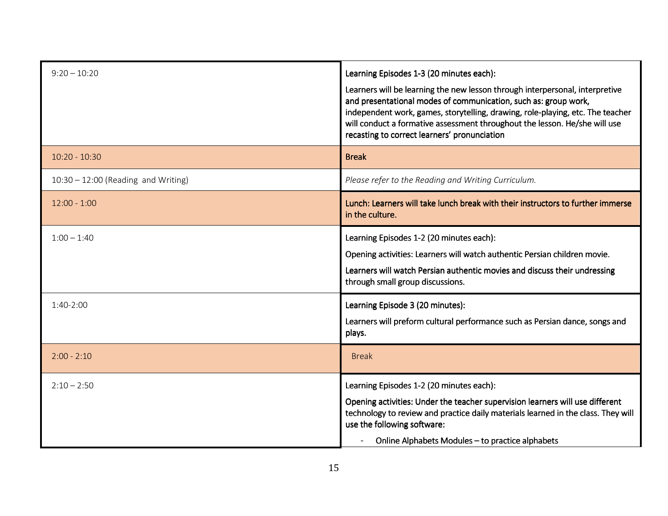| $9:20 - 10:20$                        | Learning Episodes 1-3 (20 minutes each):<br>Learners will be learning the new lesson through interpersonal, interpretive<br>and presentational modes of communication, such as: group work,<br>independent work, games, storytelling, drawing, role-playing, etc. The teacher<br>will conduct a formative assessment throughout the lesson. He/she will use<br>recasting to correct learners' pronunciation |
|---------------------------------------|-------------------------------------------------------------------------------------------------------------------------------------------------------------------------------------------------------------------------------------------------------------------------------------------------------------------------------------------------------------------------------------------------------------|
| $10:20 - 10:30$                       | <b>Break</b>                                                                                                                                                                                                                                                                                                                                                                                                |
| $10:30 - 12:00$ (Reading and Writing) | Please refer to the Reading and Writing Curriculum.                                                                                                                                                                                                                                                                                                                                                         |
| $12:00 - 1:00$                        | Lunch: Learners will take lunch break with their instructors to further immerse<br>in the culture.                                                                                                                                                                                                                                                                                                          |
| $1:00 - 1:40$                         | Learning Episodes 1-2 (20 minutes each):<br>Opening activities: Learners will watch authentic Persian children movie.<br>Learners will watch Persian authentic movies and discuss their undressing<br>through small group discussions.                                                                                                                                                                      |
| $1:40-2:00$                           | Learning Episode 3 (20 minutes):<br>Learners will preform cultural performance such as Persian dance, songs and<br>plays.                                                                                                                                                                                                                                                                                   |
| $2:00 - 2:10$                         | <b>Break</b>                                                                                                                                                                                                                                                                                                                                                                                                |
| $2:10 - 2:50$                         | Learning Episodes 1-2 (20 minutes each):<br>Opening activities: Under the teacher supervision learners will use different<br>technology to review and practice daily materials learned in the class. They will<br>use the following software:<br>Online Alphabets Modules - to practice alphabets                                                                                                           |